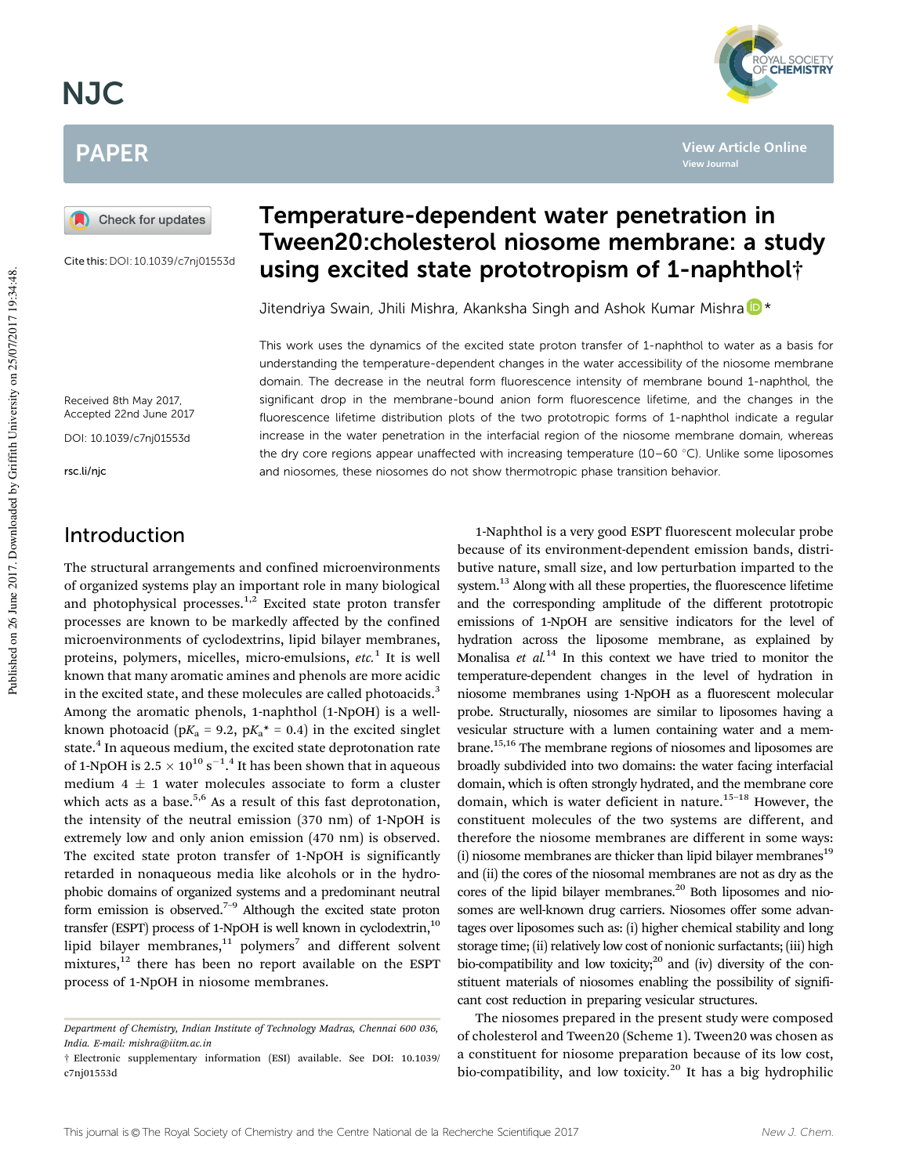# NJC

# PAPER

Check for updates

Cite this:DOI: 10.1039/c7nj01553d

# Temperature-dependent water penetration in Tween20:cholesterol niosome membrane: a study using excited state prototropism of 1-naphthol†

Jitendriya Swain, Jhili Mishra, Akanksha Singh and Ashok Kumar Mishra <sup>1</sup>

This work uses the dynamics of the excited state proton transfer of 1-naphthol to water as a basis for understanding the temperature-dependent changes in the water accessibility of the niosome membrane domain. The decrease in the neutral form fluorescence intensity of membrane bound 1-naphthol, the significant drop in the membrane-bound anion form fluorescence lifetime, and the changes in the fluorescence lifetime distribution plots of the two prototropic forms of 1-naphthol indicate a regular increase in the water penetration in the interfacial region of the niosome membrane domain, whereas the dry core regions appear unaffected with increasing temperature (10–60  $\degree$ C). Unlike some liposomes and niosomes, these niosomes do not show thermotropic phase transition behavior.

Received 8th May 2017, Accepted 22nd June 2017

DOI: 10.1039/c7nj01553d

rsc.li/njc

### Introduction

The structural arrangements and confined microenvironments of organized systems play an important role in many biological and photophysical processes. $1,2$  Excited state proton transfer processes are known to be markedly affected by the confined microenvironments of cyclodextrins, lipid bilayer membranes, proteins, polymers, micelles, micro-emulsions, etc.<sup>1</sup> It is well known that many aromatic amines and phenols are more acidic in the excited state, and these molecules are called photoacids.<sup>3</sup> Among the aromatic phenols, 1-naphthol (1-NpOH) is a wellknown photoacid (p $K_a$  = 9.2, p $K_a^*$  = 0.4) in the excited singlet state.<sup>4</sup> In aqueous medium, the excited state deprotonation rate of 1-NpOH is 2.5  $\times$  10 $^{10}$  s $^{-1.4}$  It has been shown that in aqueous medium  $4 \pm 1$  water molecules associate to form a cluster which acts as a base.<sup>5,6</sup> As a result of this fast deprotonation, the intensity of the neutral emission (370 nm) of 1-NpOH is extremely low and only anion emission (470 nm) is observed. The excited state proton transfer of 1-NpOH is significantly retarded in nonaqueous media like alcohols or in the hydrophobic domains of organized systems and a predominant neutral form emission is observed.7–9 Although the excited state proton transfer (ESPT) process of 1-NpOH is well known in cyclodextrin, $10$ lipid bilayer membranes, $^{11}$  polymers<sup>7</sup> and different solvent mixtures, $12$  there has been no report available on the ESPT process of 1-NpOH in niosome membranes.

1-Naphthol is a very good ESPT fluorescent molecular probe because of its environment-dependent emission bands, distributive nature, small size, and low perturbation imparted to the system.<sup>13</sup> Along with all these properties, the fluorescence lifetime and the corresponding amplitude of the different prototropic emissions of 1-NpOH are sensitive indicators for the level of hydration across the liposome membrane, as explained by Monalisa et  $al^{14}$  In this context we have tried to monitor the temperature-dependent changes in the level of hydration in niosome membranes using 1-NpOH as a fluorescent molecular probe. Structurally, niosomes are similar to liposomes having a vesicular structure with a lumen containing water and a membrane.15,16 The membrane regions of niosomes and liposomes are broadly subdivided into two domains: the water facing interfacial domain, which is often strongly hydrated, and the membrane core domain, which is water deficient in nature.<sup>15-18</sup> However, the constituent molecules of the two systems are different, and therefore the niosome membranes are different in some ways:  $(i)$  niosome membranes are thicker than lipid bilayer membranes<sup>19</sup> and (ii) the cores of the niosomal membranes are not as dry as the cores of the lipid bilayer membranes.<sup>20</sup> Both liposomes and niosomes are well-known drug carriers. Niosomes offer some advantages over liposomes such as: (i) higher chemical stability and long storage time; (ii) relatively low cost of nonionic surfactants; (iii) high bio-compatibility and low toxicity; $^{20}$  and (iv) diversity of the constituent materials of niosomes enabling the possibility of significant cost reduction in preparing vesicular structures.

The niosomes prepared in the present study were composed of cholesterol and Tween20 (Scheme 1). Tween20 was chosen as a constituent for niosome preparation because of its low cost, bio-compatibility, and low toxicity.<sup>20</sup> It has a big hydrophilic

**View Article Online**

**View Journal**



Department of Chemistry, Indian Institute of Technology Madras, Chennai 600 036, India. E-mail: mishra@iitm.ac.in

<sup>†</sup> Electronic supplementary information (ESI) available. See DOI: 10.1039/ c7nj01553d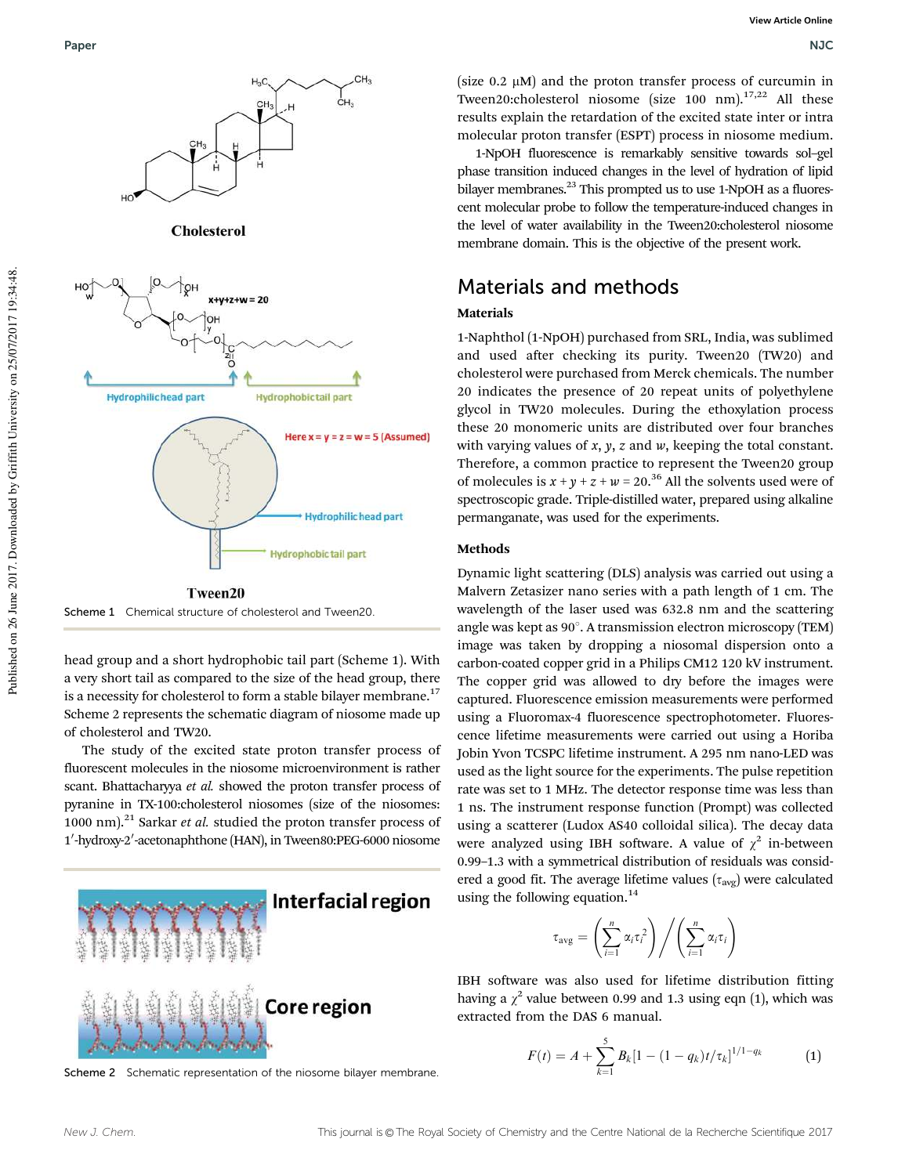

Scheme 1 Chemical structure of cholesterol and Tween20

head group and a short hydrophobic tail part (Scheme 1). With a very short tail as compared to the size of the head group, there is a necessity for cholesterol to form a stable bilayer membrane.<sup>17</sup> Scheme 2 represents the schematic diagram of niosome made up of cholesterol and TW20.

The study of the excited state proton transfer process of fluorescent molecules in the niosome microenvironment is rather scant. Bhattacharyya et al. showed the proton transfer process of pyranine in TX-100:cholesterol niosomes (size of the niosomes: 1000 nm).<sup>21</sup> Sarkar et al. studied the proton transfer process of 1'-hydroxy-2'-acetonaphthone (HAN), in Tween80:PEG-6000 niosome



Scheme 2 Schematic representation of the niosome bilayer membrane.

(size  $0.2 \mu M$ ) and the proton transfer process of curcumin in Tween20:cholesterol niosome (size 100 nm).<sup>17,22</sup> All these results explain the retardation of the excited state inter or intra molecular proton transfer (ESPT) process in niosome medium.

1-NpOH fluorescence is remarkably sensitive towards sol–gel phase transition induced changes in the level of hydration of lipid bilayer membranes.<sup>23</sup> This prompted us to use 1-NpOH as a fluorescent molecular probe to follow the temperature-induced changes in the level of water availability in the Tween20:cholesterol niosome membrane domain. This is the objective of the present work.

### Materials and methods

#### Materials

1-Naphthol (1-NpOH) purchased from SRL, India, was sublimed and used after checking its purity. Tween20 (TW20) and cholesterol were purchased from Merck chemicals. The number 20 indicates the presence of 20 repeat units of polyethylene glycol in TW20 molecules. During the ethoxylation process these 20 monomeric units are distributed over four branches with varying values of  $x$ ,  $y$ ,  $z$  and  $w$ , keeping the total constant. Therefore, a common practice to represent the Tween20 group of molecules is  $x + y + z + w = 20^{36}$  All the solvents used were of spectroscopic grade. Triple-distilled water, prepared using alkaline permanganate, was used for the experiments.

#### Methods

Dynamic light scattering (DLS) analysis was carried out using a Malvern Zetasizer nano series with a path length of 1 cm. The wavelength of the laser used was 632.8 nm and the scattering angle was kept as  $90^\circ$ . A transmission electron microscopy (TEM) image was taken by dropping a niosomal dispersion onto a carbon-coated copper grid in a Philips CM12 120 kV instrument. The copper grid was allowed to dry before the images were captured. Fluorescence emission measurements were performed using a Fluoromax-4 fluorescence spectrophotometer. Fluorescence lifetime measurements were carried out using a Horiba Jobin Yvon TCSPC lifetime instrument. A 295 nm nano-LED was used as the light source for the experiments. The pulse repetition rate was set to 1 MHz. The detector response time was less than 1 ns. The instrument response function (Prompt) was collected using a scatterer (Ludox AS40 colloidal silica). The decay data were analyzed using IBH software. A value of  $\chi^2$  in-between 0.99–1.3 with a symmetrical distribution of residuals was considered a good fit. The average lifetime values  $(\tau_{avg})$  were calculated using the following equation. $14$ 

$$
\tau_{\text{avg}} = \left(\sum_{i=1}^{n} \alpha_i \tau_i^2\right) / \left(\sum_{i=1}^{n} \alpha_i \tau_i\right)
$$

IBH software was also used for lifetime distribution fitting having a  $\chi^2$  value between 0.99 and 1.3 using eqn (1), which was extracted from the DAS 6 manual.

$$
F(t) = A + \sum_{k=1}^{5} B_k [1 - (1 - q_k)t/\tau_k]^{1/1 - q_k}
$$
 (1)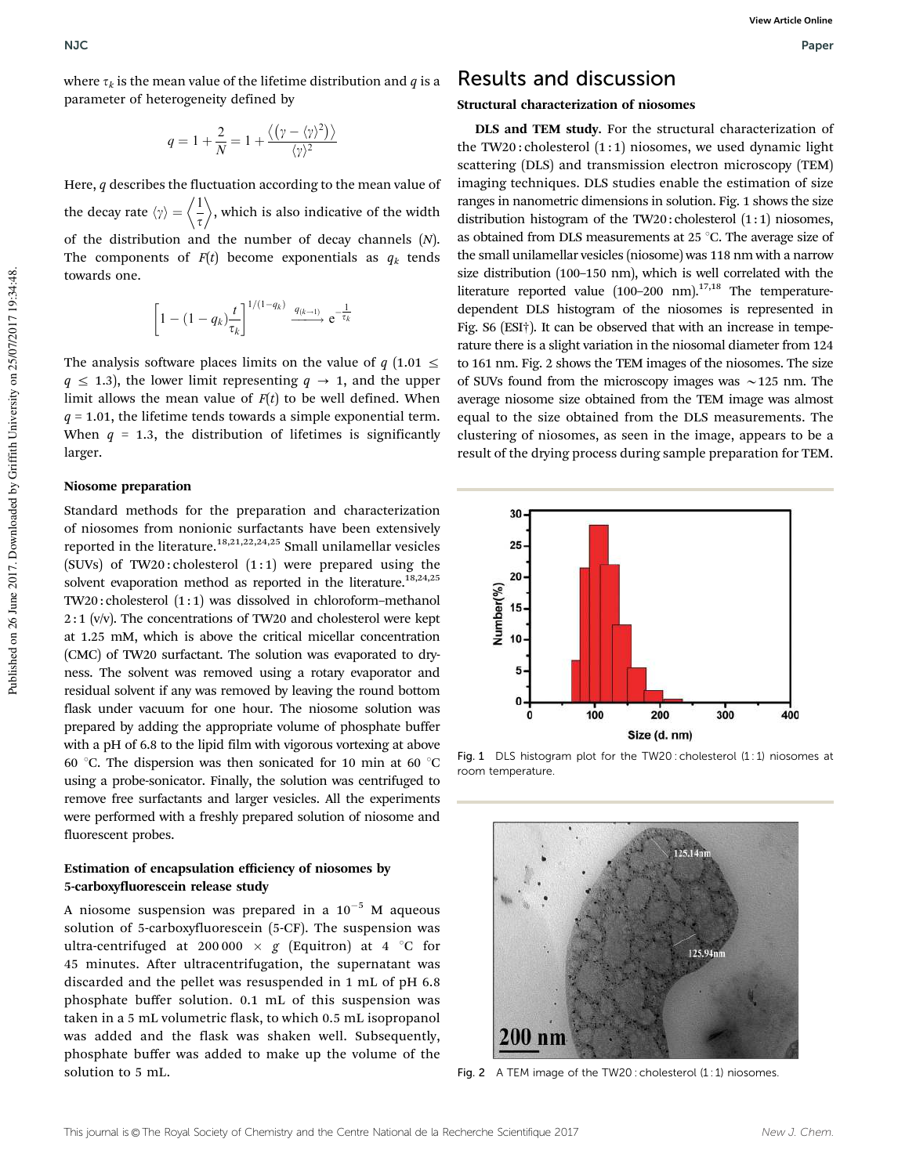where  $\tau_k$  is the mean value of the lifetime distribution and  $q$  is a parameter of heterogeneity defined by

$$
q = 1 + \frac{2}{N} = 1 + \frac{\langle (\gamma - \langle \gamma \rangle^2) \rangle}{\langle \gamma \rangle^2}
$$

Here,  $q$  describes the fluctuation according to the mean value of the decay rate  $\langle \gamma \rangle = \langle \frac{1}{\tau} \rangle$ , which is also indicative of the width of the distribution and the number of decay channels  $(N)$ . The components of  $F(t)$  become exponentials as  $q_k$  tends towards one.

$$
\left[1 - (1 - q_k)\frac{t}{\tau_k}\right]^{1/(1-q_k)} \xrightarrow{q_{(k-1)}} e^{-\frac{1}{\tau_k}}
$$

The analysis software places limits on the value of  $q$  (1.01  $\leq$  $q \leq 1.3$ , the lower limit representing  $q \rightarrow 1$ , and the upper limit allows the mean value of  $F(t)$  to be well defined. When  $q = 1.01$ , the lifetime tends towards a simple exponential term. When  $q = 1.3$ , the distribution of lifetimes is significantly larger.

#### Niosome preparation

Standard methods for the preparation and characterization of niosomes from nonionic surfactants have been extensively reported in the literature.<sup>18,21,22,24,25</sup> Small unilamellar vesicles (SUVs) of TW20: cholesterol  $(1:1)$  were prepared using the solvent evaporation method as reported in the literature.<sup>18,24,25</sup> TW20 : cholesterol (1 : 1) was dissolved in chloroform–methanol  $2:1$  (v/v). The concentrations of TW20 and cholesterol were kept at 1.25 mM, which is above the critical micellar concentration (CMC) of TW20 surfactant. The solution was evaporated to dryness. The solvent was removed using a rotary evaporator and residual solvent if any was removed by leaving the round bottom flask under vacuum for one hour. The niosome solution was prepared by adding the appropriate volume of phosphate buffer with a pH of 6.8 to the lipid film with vigorous vortexing at above 60 °C. The dispersion was then sonicated for 10 min at 60 °C using a probe-sonicator. Finally, the solution was centrifuged to remove free surfactants and larger vesicles. All the experiments were performed with a freshly prepared solution of niosome and fluorescent probes.

#### Estimation of encapsulation efficiency of niosomes by 5-carboxyfluorescein release study

A niosome suspension was prepared in a  $10^{-5}$  M aqueous solution of 5-carboxyfluorescein (5-CF). The suspension was ultra-centrifuged at 200 000  $\times$  g (Equitron) at 4 °C for 45 minutes. After ultracentrifugation, the supernatant was discarded and the pellet was resuspended in 1 mL of pH 6.8 phosphate buffer solution. 0.1 mL of this suspension was taken in a 5 mL volumetric flask, to which 0.5 mL isopropanol was added and the flask was shaken well. Subsequently, phosphate buffer was added to make up the volume of the solution to 5 mL.

### Results and discussion

#### Structural characterization of niosomes

DLS and TEM study. For the structural characterization of the TW20: cholesterol  $(1:1)$  niosomes, we used dynamic light scattering (DLS) and transmission electron microscopy (TEM) imaging techniques. DLS studies enable the estimation of size ranges in nanometric dimensions in solution. Fig. 1 shows the size distribution histogram of the TW20: cholesterol  $(1:1)$  niosomes, as obtained from DLS measurements at 25  $^{\circ}$ C. The average size of the small unilamellar vesicles (niosome) was 118 nm with a narrow size distribution (100–150 nm), which is well correlated with the literature reported value  $(100-200)$  nm).<sup>17,18</sup> The temperaturedependent DLS histogram of the niosomes is represented in Fig. S6 (ESI†). It can be observed that with an increase in temperature there is a slight variation in the niosomal diameter from 124 to 161 nm. Fig. 2 shows the TEM images of the niosomes. The size of SUVs found from the microscopy images was  $\sim$  125 nm. The average niosome size obtained from the TEM image was almost equal to the size obtained from the DLS measurements. The clustering of niosomes, as seen in the image, appears to be a result of the drying process during sample preparation for TEM.



Fig. 1 DLS histogram plot for the TW20 : cholesterol (1:1) niosomes at room temperature.



Fig. 2 A TEM image of the TW20 : cholesterol (1:1) niosomes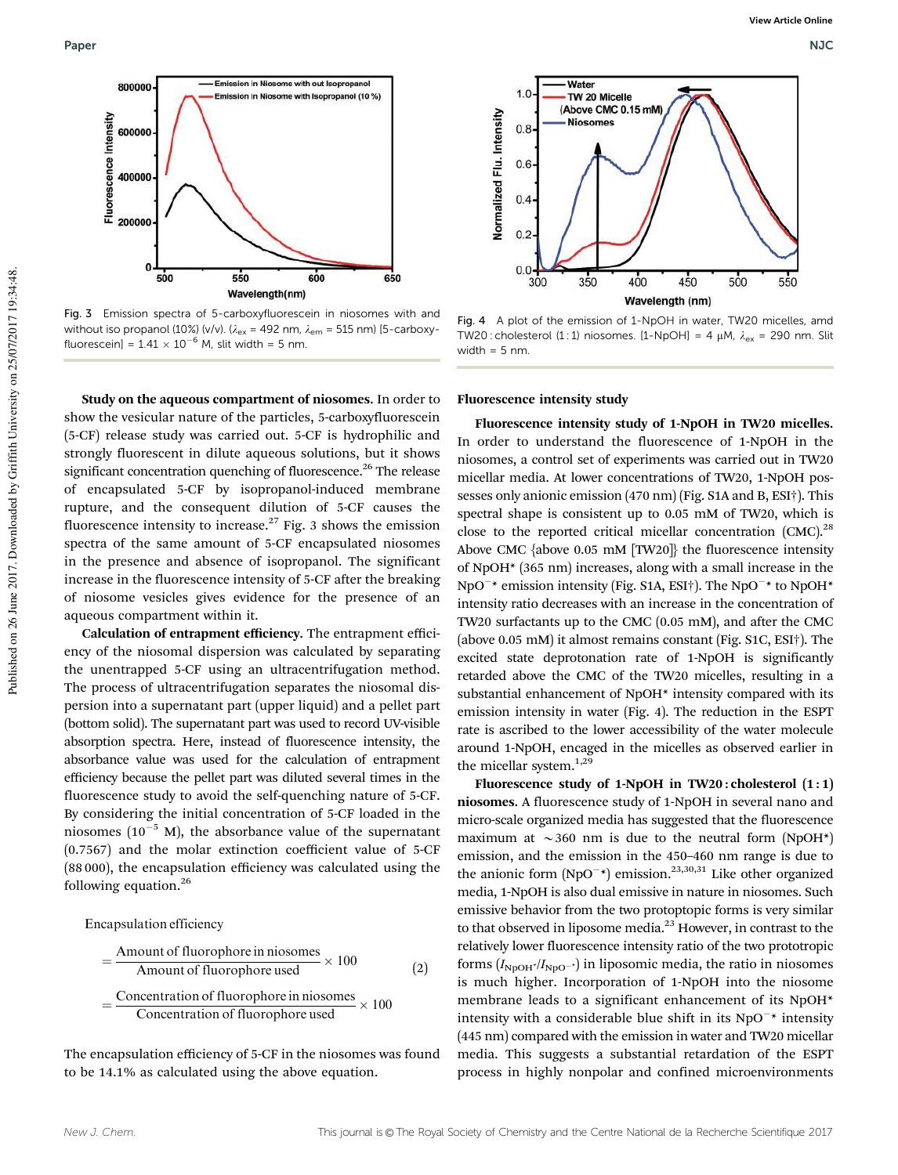

Fig. 3 Emission spectra of 5-carboxyfluorescein in niosomes with and without iso propanol (10%) (v/v). ( $\lambda_{\text{ex}}$  = 492 nm,  $\lambda_{\text{em}}$  = 515 nm) [5-carboxyfluorescein] =  $1.41 \times 10^{-6}$  M, slit width = 5 nm.

Study on the aqueous compartment of niosomes. In order to show the vesicular nature of the particles, 5-carboxyfluorescein (5-CF) release study was carried out. 5-CF is hydrophilic and strongly fluorescent in dilute aqueous solutions, but it shows significant concentration quenching of fluorescence.<sup>26</sup> The release of encapsulated 5-CF by isopropanol-induced membrane rupture, and the consequent dilution of 5-CF causes the fluorescence intensity to increase. $27$  Fig. 3 shows the emission spectra of the same amount of 5-CF encapsulated niosomes in the presence and absence of isopropanol. The significant increase in the fluorescence intensity of 5-CF after the breaking of niosome vesicles gives evidence for the presence of an aqueous compartment within it.

Calculation of entrapment efficiency. The entrapment efficiency of the niosomal dispersion was calculated by separating the unentrapped 5-CF using an ultracentrifugation method. The process of ultracentrifugation separates the niosomal dispersion into a supernatant part (upper liquid) and a pellet part (bottom solid). The supernatant part was used to record UV-visible absorption spectra. Here, instead of fluorescence intensity, the absorbance value was used for the calculation of entrapment efficiency because the pellet part was diluted several times in the fluorescence study to avoid the self-quenching nature of 5-CF. By considering the initial concentration of 5-CF loaded in the niosomes  $(10^{-5}$  M), the absorbance value of the supernatant (0.7567) and the molar extinction coefficient value of 5-CF (88 000), the encapsulation efficiency was calculated using the following equation.<sup>26</sup>

Encapsulation efficiency

$$
= \frac{\text{Amount of fluorophore in niosomes}}{\text{Amount of fluorophore used}} \times 100
$$
 (2)  

$$
= \frac{\text{Concentration of fluorophore in niosomes}}{\text{Concentration of fluorophore used}} \times 100
$$

The encapsulation efficiency of 5-CF in the niosomes was found to be 14.1% as calculated using the above equation.



Fig. 4 A plot of the emission of 1-NpOH in water, TW20 micelles, amd TW20 : cholesterol (1 : 1) niosomes. [1-NpOH] = 4  $\mu$ M,  $\lambda_{ex}$  = 290 nm. Slit width  $= 5$  nm.

Fluorescence intensity study

Fluorescence intensity study of 1-NpOH in TW20 micelles. In order to understand the fluorescence of 1-NpOH in the niosomes, a control set of experiments was carried out in TW20 micellar media. At lower concentrations of TW20, 1-NpOH possesses only anionic emission (470 nm) (Fig. S1A and B, ESI†). This spectral shape is consistent up to 0.05 mM of TW20, which is close to the reported critical micellar concentration (CMC).<sup>28</sup> Above CMC {above 0.05 mM [TW20]} the fluorescence intensity of NpOH\* (365 nm) increases, along with a small increase in the NpO<sup>-\*</sup> emission intensity (Fig. S1A, ESI<sup>†</sup>). The NpO<sup>-\*</sup> to NpOH<sup>\*</sup> intensity ratio decreases with an increase in the concentration of TW20 surfactants up to the CMC (0.05 mM), and after the CMC (above 0.05 mM) it almost remains constant (Fig. S1C, ESI†). The excited state deprotonation rate of 1-NpOH is significantly retarded above the CMC of the TW20 micelles, resulting in a substantial enhancement of NpOH\* intensity compared with its emission intensity in water (Fig. 4). The reduction in the ESPT rate is ascribed to the lower accessibility of the water molecule around 1-NpOH, encaged in the micelles as observed earlier in the micellar system.<sup>1,29</sup>

Fluorescence study of 1-NpOH in  $TW20:$  cholesterol  $(1:1)$ niosomes. A fluorescence study of 1-NpOH in several nano and micro-scale organized media has suggested that the fluorescence maximum at  $\sim$ 360 nm is due to the neutral form (NpOH\*) emission, and the emission in the 450–460 nm range is due to the anionic form  $(NpO^{-*})$  emission.<sup>23,30,31</sup> Like other organized media, 1-NpOH is also dual emissive in nature in niosomes. Such emissive behavior from the two protoptopic forms is very similar to that observed in liposome media. $^{23}$  However, in contrast to the relatively lower fluorescence intensity ratio of the two prototropic forms  $(I_{\text{NpoH}^*/I_{\text{Npo}}})$  in liposomic media, the ratio in niosomes is much higher. Incorporation of 1-NpOH into the niosome membrane leads to a significant enhancement of its NpOH\* intensity with a considerable blue shift in its  $NpO^{-*}$  intensity (445 nm) compared with the emission in water and TW20 micellar media. This suggests a substantial retardation of the ESPT process in highly nonpolar and confined microenvironments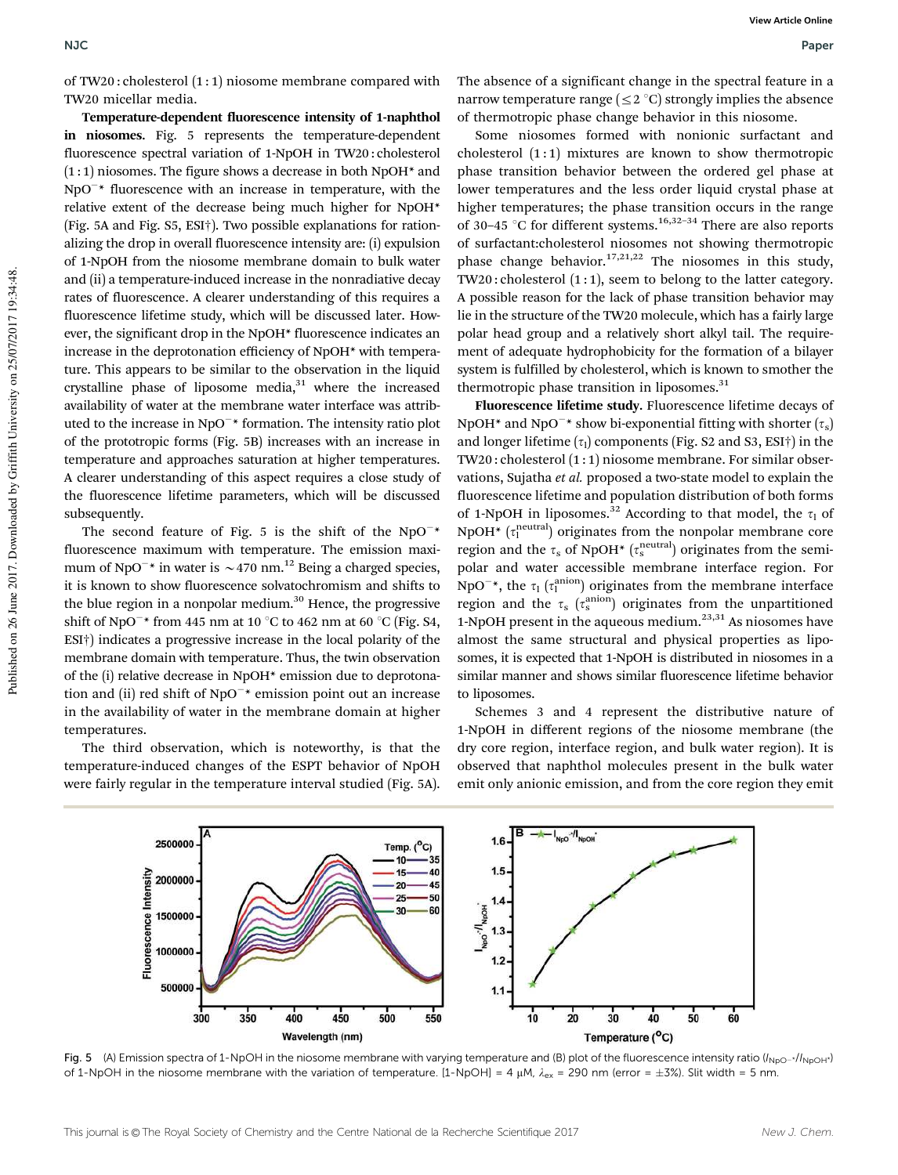of TW20 : cholesterol (1 : 1) niosome membrane compared with TW20 micellar media.

Temperature-dependent fluorescence intensity of 1-naphthol in niosomes. Fig. 5 represents the temperature-dependent fluorescence spectral variation of 1-NpOH in TW20 : cholesterol  $(1:1)$  niosomes. The figure shows a decrease in both NpOH $*$  and  $NpO^{-*}$  fluorescence with an increase in temperature, with the relative extent of the decrease being much higher for NpOH\* (Fig. 5A and Fig. S5, ESI†). Two possible explanations for rationalizing the drop in overall fluorescence intensity are: (i) expulsion of 1-NpOH from the niosome membrane domain to bulk water and (ii) a temperature-induced increase in the nonradiative decay rates of fluorescence. A clearer understanding of this requires a fluorescence lifetime study, which will be discussed later. However, the significant drop in the NpOH\* fluorescence indicates an increase in the deprotonation efficiency of NpOH\* with temperature. This appears to be similar to the observation in the liquid crystalline phase of liposome media, $31$  where the increased availability of water at the membrane water interface was attributed to the increase in NpO<sup>-\*</sup> formation. The intensity ratio plot of the prototropic forms (Fig. 5B) increases with an increase in temperature and approaches saturation at higher temperatures. A clearer understanding of this aspect requires a close study of the fluorescence lifetime parameters, which will be discussed subsequently.

The second feature of Fig. 5 is the shift of the  $NpO^{-*}$ fluorescence maximum with temperature. The emission maximum of NpO<sup>-\*</sup> in water is  $\sim$  470 nm.<sup>12</sup> Being a charged species, it is known to show fluorescence solvatochromism and shifts to the blue region in a nonpolar medium. $30$  Hence, the progressive shift of NpO $^{-*}$  from 445 nm at 10  $^{\circ}$ C to 462 nm at 60  $^{\circ}$ C (Fig. S4, ESI†) indicates a progressive increase in the local polarity of the membrane domain with temperature. Thus, the twin observation of the (i) relative decrease in NpOH\* emission due to deprotonation and (ii) red shift of NpO<sup>-\*</sup> emission point out an increase in the availability of water in the membrane domain at higher temperatures.

The third observation, which is noteworthy, is that the temperature-induced changes of the ESPT behavior of NpOH were fairly regular in the temperature interval studied (Fig. 5A).

The absence of a significant change in the spectral feature in a narrow temperature range ( $\leq$  2 °C) strongly implies the absence of thermotropic phase change behavior in this niosome.

Some niosomes formed with nonionic surfactant and cholesterol  $(1:1)$  mixtures are known to show thermotropic phase transition behavior between the ordered gel phase at lower temperatures and the less order liquid crystal phase at higher temperatures; the phase transition occurs in the range of 30–45  $\degree$ C for different systems.<sup>16,32–34</sup> There are also reports of surfactant:cholesterol niosomes not showing thermotropic phase change behavior.<sup>17,21,22</sup> The niosomes in this study, TW20 : cholesterol (1 : 1), seem to belong to the latter category. A possible reason for the lack of phase transition behavior may lie in the structure of the TW20 molecule, which has a fairly large polar head group and a relatively short alkyl tail. The requirement of adequate hydrophobicity for the formation of a bilayer system is fulfilled by cholesterol, which is known to smother the thermotropic phase transition in liposomes. $31$ 

Fluorescence lifetime study. Fluorescence lifetime decays of NpOH<sup>\*</sup> and NpO<sup>-\*</sup> show bi-exponential fitting with shorter  $(\tau_{\rm s})$ and longer lifetime  $(\tau_1)$  components (Fig. S2 and S3, ESI†) in the TW20 : cholesterol (1 : 1) niosome membrane. For similar observations, Sujatha et al. proposed a two-state model to explain the fluorescence lifetime and population distribution of both forms of 1-NpOH in liposomes.<sup>32</sup> According to that model, the  $\tau_1$  of NpOH<sup>\*</sup> ( $\tau_1^{\text{neutral}}$ ) originates from the nonpolar membrane core region and the  $\tau_s$  of NpOH\* ( $\tau_s^{\text{neutral}}$ ) originates from the semipolar and water accessible membrane interface region. For NpO<sup>-\*</sup>, the  $\tau_1$  ( $\tau_1^{\text{anion}}$ ) originates from the membrane interface region and the  $\tau_s$  ( $\tau_s^{\rm anion}$ ) originates from the unpartitioned 1-NpOH present in the aqueous medium. $23,31$  As niosomes have almost the same structural and physical properties as liposomes, it is expected that 1-NpOH is distributed in niosomes in a similar manner and shows similar fluorescence lifetime behavior to liposomes.

Schemes 3 and 4 represent the distributive nature of 1-NpOH in different regions of the niosome membrane (the dry core region, interface region, and bulk water region). It is observed that naphthol molecules present in the bulk water emit only anionic emission, and from the core region they emit



Fig. 5 (A) Emission spectra of 1-NpOH in the niosome membrane with varying temperature and (B) plot of the fluorescence intensity ratio ( $I_{NDO^{-1}}/I_{NDOH}$ ) of 1-NpOH in the niosome membrane with the variation of temperature. [1-NpOH] = 4  $\mu$ M,  $\lambda_{ex}$  = 290 nm (error =  $\pm$ 3%). Slit width = 5 nm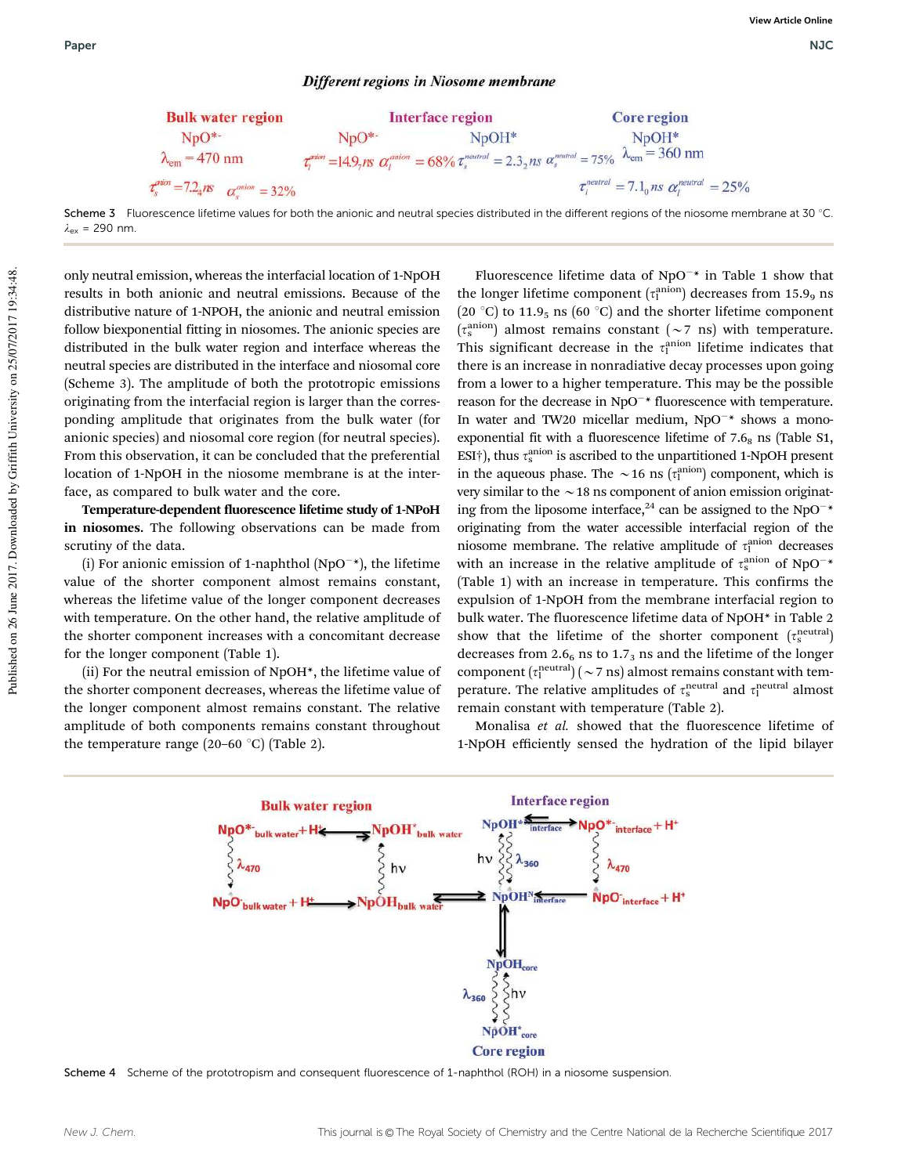#### Different regions in Niosome membrane



Scheme 3 Fluorescence lifetime values for both the anionic and neutral species distributed in the different regions of the niosome membrane at 30 °C  $\lambda_{\text{ex}}$  = 290 nm.

only neutral emission, whereas the interfacial location of 1-NpOH results in both anionic and neutral emissions. Because of the distributive nature of 1-NPOH, the anionic and neutral emission follow biexponential fitting in niosomes. The anionic species are distributed in the bulk water region and interface whereas the neutral species are distributed in the interface and niosomal core (Scheme 3). The amplitude of both the prototropic emissions originating from the interfacial region is larger than the corresponding amplitude that originates from the bulk water (for anionic species) and niosomal core region (for neutral species). From this observation, it can be concluded that the preferential location of 1-NpOH in the niosome membrane is at the interface, as compared to bulk water and the core.

Temperature-dependent fluorescence lifetime study of 1-NPoH in niosomes. The following observations can be made from scrutiny of the data.

(i) For anionic emission of 1-naphthol (NpO<sup> $-$ \*</sup>), the lifetime value of the shorter component almost remains constant, whereas the lifetime value of the longer component decreases with temperature. On the other hand, the relative amplitude of the shorter component increases with a concomitant decrease for the longer component (Table 1).

(ii) For the neutral emission of NpOH\*, the lifetime value of the shorter component decreases, whereas the lifetime value of the longer component almost remains constant. The relative amplitude of both components remains constant throughout the temperature range (20–60  $\degree$ C) (Table 2).

Fluorescence lifetime data of  $NpO^{-*}$  in Table 1 show that the longer lifetime component  $(\tau^{\rm anion}_{\rm l})$  decreases from 15.9<sub>9</sub> ns (20  $^{\circ}$ C) to 11.9<sub>5</sub> ns (60  $^{\circ}$ C) and the shorter lifetime component  $(\tau_s^{\text{anion}})$  almost remains constant  $(\sim 7 \text{ ns})$  with temperature. This significant decrease in the  $\tau_1^{\text{anion}}$  lifetime indicates that there is an increase in nonradiative decay processes upon going from a lower to a higher temperature. This may be the possible reason for the decrease in NpO<sup>-\*</sup> fluorescence with temperature. In water and TW20 micellar medium,  $NpO^{-*}$  shows a monoexponential fit with a fluorescence lifetime of  $7.6<sub>8</sub>$  ns (Table S1, ESI<sup>†</sup>), thus  $\tau_{\rm s}^{\rm anion}$  is ascribed to the unpartitioned 1-NpOH present in the aqueous phase. The  $\sim$ 16 ns ( $\tau_1^{\text{anion}}$ ) component, which is very similar to the  $\sim$  18 ns component of anion emission originating from the liposome interface,<sup>24</sup> can be assigned to the NpO<sup>-\*</sup> originating from the water accessible interfacial region of the niosome membrane. The relative amplitude of  $\tau_1^{\text{anion}}$  decreases with an increase in the relative amplitude of  $\tau_{\rm s}^{\rm anion}$  of NpO<sup>-\*</sup> (Table 1) with an increase in temperature. This confirms the expulsion of 1-NpOH from the membrane interfacial region to bulk water. The fluorescence lifetime data of NpOH\* in Table 2 show that the lifetime of the shorter component  $(\tau_s^{\text{neutral}})$ decreases from 2.6 $_6$  ns to 1.7<sub>3</sub> ns and the lifetime of the longer component  $(\tau_1^{\text{neutral}})$  ( $\sim$  7 ns) almost remains constant with temperature. The relative amplitudes of  $\tau_s^{\text{neutral}}$  and  $\tau_l^{\text{neutral}}$  almost remain constant with temperature (Table 2).

Monalisa et al. showed that the fluorescence lifetime of 1-NpOH efficiently sensed the hydration of the lipid bilayer



Scheme 4 Scheme of the prototropism and consequent fluorescence of 1-naphthol (ROH) in a niosome suspension.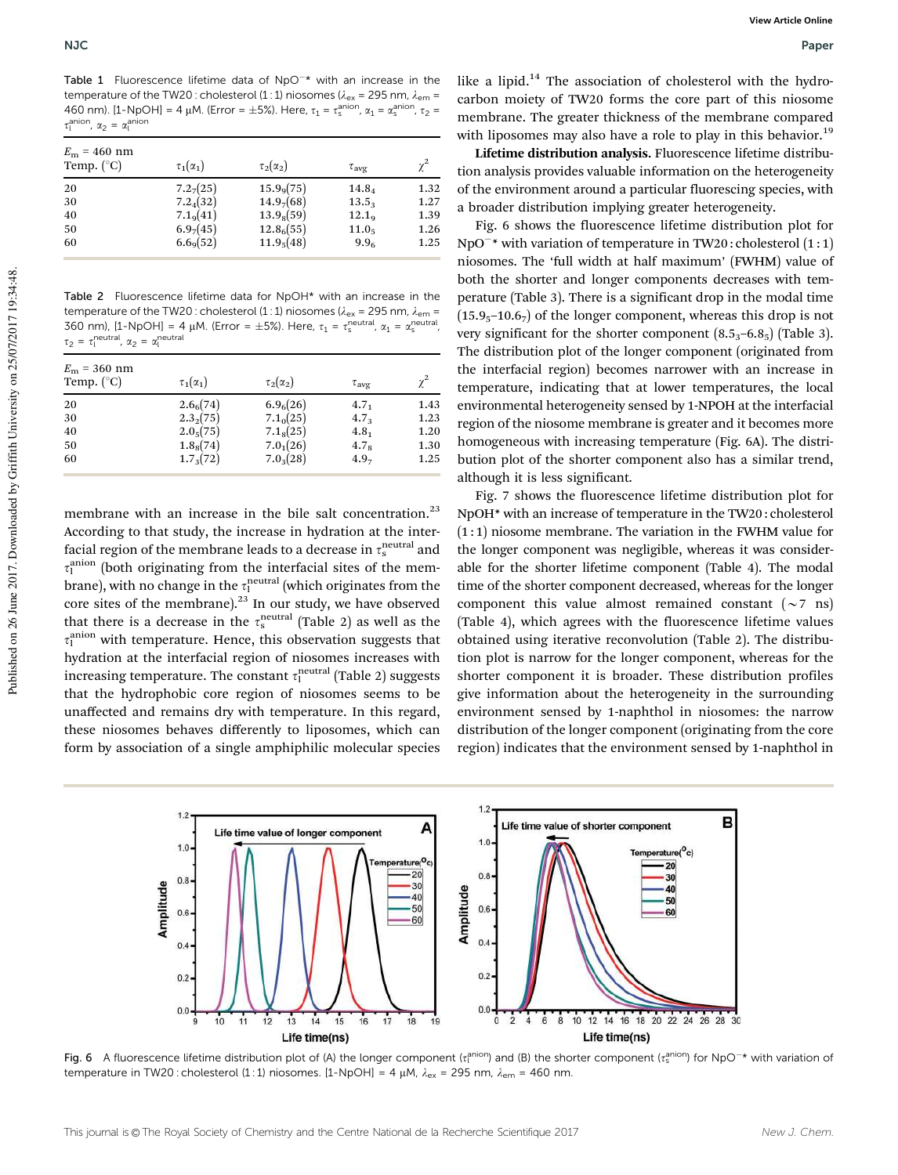Table 1 Fluorescence lifetime data of  $NpO^{-*}$  with an increase in the temperature of the TW20 : cholesterol (1 : 1) niosomes ( $\lambda_{\text{ex}}$  = 295 nm,  $\lambda_{\text{em}}$  = 460 nm). [1-NpOH] = 4 μM. (Error =  $\pm$ 5%). Here,  $\tau_1 = \tau_{\rm s}^{\rm anion}$ ,  $\alpha_1 = \alpha_{\rm s}^{\rm anion}$ ,  $\tau_2$  =  $\tau_l^{\text{anion}}$ ,  $\alpha_2 = \alpha_l^{\text{anion}}$ 

| $E_{\rm m}$ = 460 nm<br>Temp. $(^{\circ}C)$ | $\tau_1(\alpha_1)$    | $\tau_2(\alpha_2)$     | $\tau_{\rm ave}$  | $\gamma^2$ |
|---------------------------------------------|-----------------------|------------------------|-------------------|------------|
| 20                                          | 7.2 <sub>7</sub> (25) | 15.9 <sub>9</sub> (75) | $14.8_{4}$        | 1.32       |
| 30                                          | $7.2_{4}(32)$         | 14.9(68)               | 13.5 <sub>3</sub> | 1.27       |
| 40                                          | 7.1 <sub>9</sub> (41) | $13.9_8(59)$           | 12.1 <sub>9</sub> | 1.39       |
| 50                                          | 6.9 <sub>7</sub> (45) | 12.8 <sub>6</sub> (55) | 11.0 <sub>5</sub> | 1.26       |
| 60                                          | 6.69(52)              | 11.9 <sub>5</sub> (48) | 9.9 <sub>6</sub>  | 1.25       |

Table 2 Fluorescence lifetime data for NpOH\* with an increase in the temperature of the TW20 : cholesterol (1 : 1) niosomes ( $\lambda_\text{ex}$  = 295 nm,  $\lambda_\text{em}$  = 360 nm),  $[1-NpOH] = 4 \mu M$ . (Error =  $\pm 5\%$ ). Here,  $\tau_1 = \tau_s^{\text{neutral}}$ ,  $\alpha_1 = \alpha_s^{\text{neutral}}$ ,  $\tau_2 = \tau_1^{\text{neutral}}$ ,  $\alpha_2 = \alpha_1^{\text{neutral}}$ 

| $E_{\rm m}$ = 360 nm<br>Temp. $(^{\circ}C)$ | $\tau_1(\alpha_1)$    | $\tau_2(\alpha_2)$    | $\tau_{\text{ave}}$ | $\chi^2$ |
|---------------------------------------------|-----------------------|-----------------------|---------------------|----------|
| 20                                          | 2.6 <sub>6</sub> (74) | 6.9 <sub>6</sub> (26) | $4.7_1$             | 1.43     |
| 30                                          | $2.3_{2}(75)$         | 7.1 <sub>0</sub> (25) | 4.7 <sub>3</sub>    | 1.23     |
| 40                                          | 2.0 <sub>5</sub> (75) | $7.1_8(25)$           | $4.8_1$             | 1.20     |
| 50                                          | $1.8_8(74)$           | $7.0_1(26)$           | 4.7 <sub>8</sub>    | 1.30     |
| 60                                          | $1.7_3(72)$           | $7.0_3(28)$           | 4.9 <sub>7</sub>    | 1.25     |
|                                             |                       |                       |                     |          |

membrane with an increase in the bile salt concentration.<sup>23</sup> According to that study, the increase in hydration at the interfacial region of the membrane leads to a decrease in  $\tau_{\rm s}^{\rm neutral}$  and  $\tau_1^{\text{anion}}$  (both originating from the interfacial sites of the membrane), with no change in the  $\tau^{\rm neutral}_{\rm l}$  (which originates from the core sites of the membrane).<sup>23</sup> In our study, we have observed that there is a decrease in the  $\tau_{\rm s}^{\rm neutral}$  (Table 2) as well as the  $\tau_1^{\rm anion}$  with temperature. Hence, this observation suggests that hydration at the interfacial region of niosomes increases with increasing temperature. The constant  $\tau_1^{\rm neutral}$  (Table 2) suggests that the hydrophobic core region of niosomes seems to be unaffected and remains dry with temperature. In this regard, these niosomes behaves differently to liposomes, which can form by association of a single amphiphilic molecular species

like a lipid. $14$  The association of cholesterol with the hydrocarbon moiety of TW20 forms the core part of this niosome membrane. The greater thickness of the membrane compared with liposomes may also have a role to play in this behavior.<sup>19</sup>

Lifetime distribution analysis. Fluorescence lifetime distribution analysis provides valuable information on the heterogeneity of the environment around a particular fluorescing species, with a broader distribution implying greater heterogeneity.

Fig. 6 shows the fluorescence lifetime distribution plot for NpO<sup>-\*</sup> with variation of temperature in TW20: cholesterol (1:1) niosomes. The 'full width at half maximum' (FWHM) value of both the shorter and longer components decreases with temperature (Table 3). There is a significant drop in the modal time  $(15.9<sub>5</sub>–10.6<sub>7</sub>)$  of the longer component, whereas this drop is not very significant for the shorter component  $(8.5<sub>3</sub>–6.8<sub>5</sub>)$  (Table 3). The distribution plot of the longer component (originated from the interfacial region) becomes narrower with an increase in temperature, indicating that at lower temperatures, the local environmental heterogeneity sensed by 1-NPOH at the interfacial region of the niosome membrane is greater and it becomes more homogeneous with increasing temperature (Fig. 6A). The distribution plot of the shorter component also has a similar trend, although it is less significant.

Fig. 7 shows the fluorescence lifetime distribution plot for NpOH\* with an increase of temperature in the TW20 : cholesterol  $(1:1)$  niosome membrane. The variation in the FWHM value for the longer component was negligible, whereas it was considerable for the shorter lifetime component (Table 4). The modal time of the shorter component decreased, whereas for the longer component this value almost remained constant  $({\sim}7 \text{ ns})$ (Table 4), which agrees with the fluorescence lifetime values obtained using iterative reconvolution (Table 2). The distribution plot is narrow for the longer component, whereas for the shorter component it is broader. These distribution profiles give information about the heterogeneity in the surrounding environment sensed by 1-naphthol in niosomes: the narrow distribution of the longer component (originating from the core region) indicates that the environment sensed by 1-naphthol in



Fig. 6 A fluorescence lifetime distribution plot of (A) the longer component ( $t_1^{\text{anion}}$ ) and (B) the shorter component ( $t_3^{\text{anion}}$ ) for NpO<sup>-\*</sup> with variation of temperature in TW20 : cholesterol (1 : 1) niosomes. [1-NpOH] = 4  $\mu$ M,  $\lambda_{\text{ex}}$  = 295 nm,  $\lambda_{\text{em}}$  = 460 nm.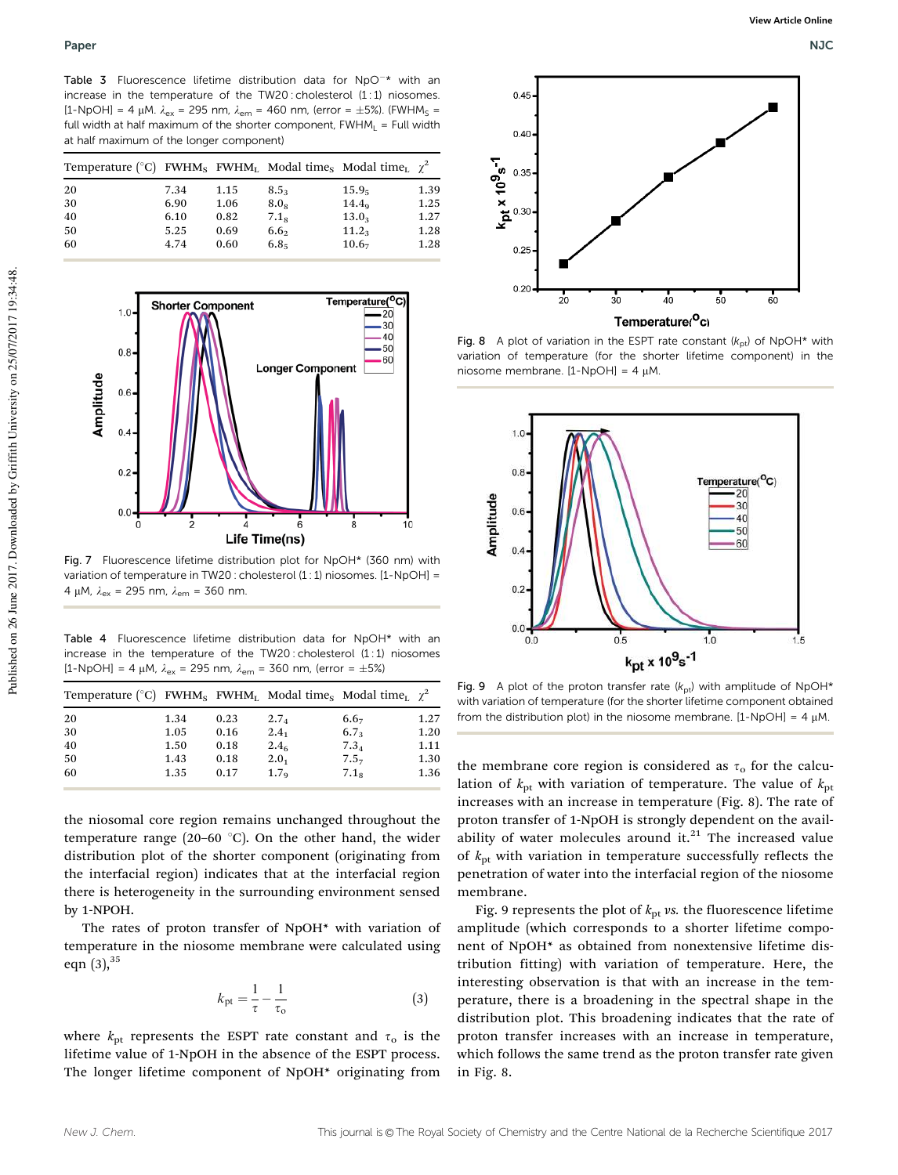Table 3 Fluorescence lifetime distribution data for  $NpO^{-*}$  with an increase in the temperature of the TW20 : cholesterol (1:1) niosomes. [1-NpOH] = 4  $\mu$ M.  $\lambda_{ex}$  = 295 nm,  $\lambda_{em}$  = 460 nm, (error = ±5%). (FWHM<sub>S</sub> = full width at half maximum of the shorter component,  $FWHM<sub>l</sub> = Full width$ at half maximum of the longer component)

| Temperature (°C) FWHM <sub>S</sub> FWHM <sub>I</sub> Modal time <sub>S</sub> Modal time <sub>I</sub> $\chi^2$ |      |      |                  |                   |      |
|---------------------------------------------------------------------------------------------------------------|------|------|------------------|-------------------|------|
| 20                                                                                                            | 7.34 | 1.15 | 8.5 <sub>3</sub> | 15.9 <sub>5</sub> | 1.39 |
| 30                                                                                                            | 6.90 | 1.06 | 8.0 <sub>8</sub> | $14.4_9$          | 1.25 |
| 40                                                                                                            | 6.10 | 0.82 | 7.1 <sub>8</sub> | 13.0 <sub>3</sub> | 1.27 |
| 50                                                                                                            | 5.25 | 0.69 | 6.6 <sub>2</sub> | $11.2_{3}$        | 1.28 |
| 60                                                                                                            | 4.74 | 0.60 | 6.8 <sub>5</sub> | 10.6 <sub>7</sub> | 1.28 |



Fig. 7 Fluorescence lifetime distribution plot for NpOH\* (360 nm) with variation of temperature in TW20 : cholesterol (1 : 1) niosomes. [1-NpOH] = 4 µM,  $\lambda_{\rm ex}$  = 295 nm,  $\lambda_{\rm em}$  = 360 nm.

Table 4 Fluorescence lifetime distribution data for NpOH\* with an increase in the temperature of the TW20: cholesterol (1:1) niosomes [1-NpOH] = 4  $\mu$ M,  $\lambda_{ex}$  = 295 nm,  $\lambda_{em}$  = 360 nm, (error =  $\pm$ 5%)

| Temperature (°C) FWHM <sub>s</sub> FWHM <sub>L</sub> Modal time <sub>s</sub> Modal time <sub>L</sub> $\chi^2$ |      |      |                  |                  |      |
|---------------------------------------------------------------------------------------------------------------|------|------|------------------|------------------|------|
| 20                                                                                                            | 1.34 | 0.23 | 2.7 <sub>4</sub> | $6.6_{7}$        | 1.27 |
| 30                                                                                                            | 1.05 | 0.16 | $2.4_1$          | 6.7 <sub>3</sub> | 1.20 |
| 40                                                                                                            | 1.50 | 0.18 | 2.4 <sub>6</sub> | $7.3_{4}$        | 1.11 |
| 50                                                                                                            | 1.43 | 0.18 | $2.0_{1}$        | 7.57             | 1.30 |
| 60                                                                                                            | 1.35 | 0.17 | 1.7 <sub>o</sub> | 7.1 <sub>8</sub> | 1.36 |

the niosomal core region remains unchanged throughout the temperature range (20–60 $\degree$ C). On the other hand, the wider distribution plot of the shorter component (originating from the interfacial region) indicates that at the interfacial region there is heterogeneity in the surrounding environment sensed by 1-NPOH.

The rates of proton transfer of NpOH\* with variation of temperature in the niosome membrane were calculated using eqn  $(3)$ ,  $35$ 

$$
k_{\rm pt} = \frac{1}{\tau} - \frac{1}{\tau_{\rm o}}\tag{3}
$$

where  $k_{\text{pt}}$  represents the ESPT rate constant and  $\tau_0$  is the lifetime value of 1-NpOH in the absence of the ESPT process. The longer lifetime component of NpOH\* originating from



Fig. 8 A plot of variation in the ESPT rate constant  $(k_{pt})$  of NpOH\* with variation of temperature (for the shorter lifetime component) in the niosome membrane.  $[1-NpOH] = 4 \mu M$ .



Fig. 9 A plot of the proton transfer rate  $(k_{pt})$  with amplitude of NpOH\* with variation of temperature (for the shorter lifetime component obtained from the distribution plot) in the niosome membrane.  $[1-NpOH] = 4 \mu M$ .

the membrane core region is considered as  $\tau_0$  for the calculation of  $k_{\text{pt}}$  with variation of temperature. The value of  $k_{\text{pt}}$ increases with an increase in temperature (Fig. 8). The rate of proton transfer of 1-NpOH is strongly dependent on the availability of water molecules around it. $21$  The increased value of  $k<sub>pt</sub>$  with variation in temperature successfully reflects the penetration of water into the interfacial region of the niosome membrane.

Fig. 9 represents the plot of  $k<sub>pt</sub>$  vs. the fluorescence lifetime amplitude (which corresponds to a shorter lifetime component of NpOH\* as obtained from nonextensive lifetime distribution fitting) with variation of temperature. Here, the interesting observation is that with an increase in the temperature, there is a broadening in the spectral shape in the distribution plot. This broadening indicates that the rate of proton transfer increases with an increase in temperature, which follows the same trend as the proton transfer rate given in Fig. 8.